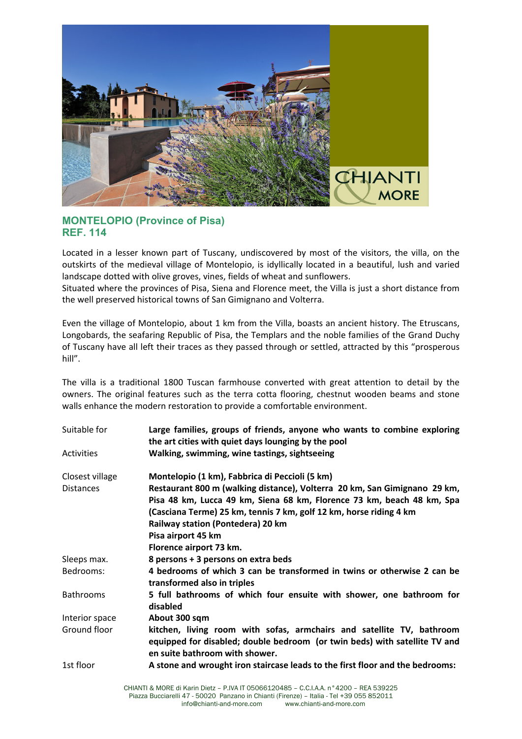

## **MONTELOPIO (Province of Pisa) REF. 114**

Located in a lesser known part of Tuscany, undiscovered by most of the visitors, the villa, on the outskirts of the medieval village of Montelopio, is idyllically located in a beautiful, lush and varied landscape dotted with olive groves, vines, fields of wheat and sunflowers.

Situated where the provinces of Pisa, Siena and Florence meet, the Villa is just a short distance from the well preserved historical towns of San Gimignano and Volterra.

Even the village of Montelopio, about 1 km from the Villa, boasts an ancient history. The Etruscans, Longobards, the seafaring Republic of Pisa, the Templars and the noble families of the Grand Duchy of Tuscany have all left their traces as they passed through or settled, attracted by this "prosperous hill".

The villa is a traditional 1800 Tuscan farmhouse converted with great attention to detail by the owners. The original features such as the terra cotta flooring, chestnut wooden beams and stone walls enhance the modern restoration to provide a comfortable environment.

| Suitable for     | Large families, groups of friends, anyone who wants to combine exploring<br>the art cities with quiet days lounging by the pool                                                       |
|------------------|---------------------------------------------------------------------------------------------------------------------------------------------------------------------------------------|
| Activities       | Walking, swimming, wine tastings, sightseeing                                                                                                                                         |
| Closest village  | Montelopio (1 km), Fabbrica di Peccioli (5 km)                                                                                                                                        |
| <b>Distances</b> | Restaurant 800 m (walking distance), Volterra 20 km, San Gimignano 29 km,                                                                                                             |
|                  | Pisa 48 km, Lucca 49 km, Siena 68 km, Florence 73 km, beach 48 km, Spa                                                                                                                |
|                  | (Casciana Terme) 25 km, tennis 7 km, golf 12 km, horse riding 4 km<br>Railway station (Pontedera) 20 km                                                                               |
|                  | Pisa airport 45 km                                                                                                                                                                    |
|                  | Florence airport 73 km.                                                                                                                                                               |
| Sleeps max.      | 8 persons + 3 persons on extra beds                                                                                                                                                   |
| Bedrooms:        | 4 bedrooms of which 3 can be transformed in twins or otherwise 2 can be<br>transformed also in triples                                                                                |
| <b>Bathrooms</b> | 5 full bathrooms of which four ensuite with shower, one bathroom for<br>disabled                                                                                                      |
| Interior space   | About 300 sqm                                                                                                                                                                         |
| Ground floor     | kitchen, living room with sofas, armchairs and satellite TV, bathroom<br>equipped for disabled; double bedroom (or twin beds) with satellite TV and<br>en suite bathroom with shower. |
| 1st floor        | A stone and wrought iron staircase leads to the first floor and the bedrooms:                                                                                                         |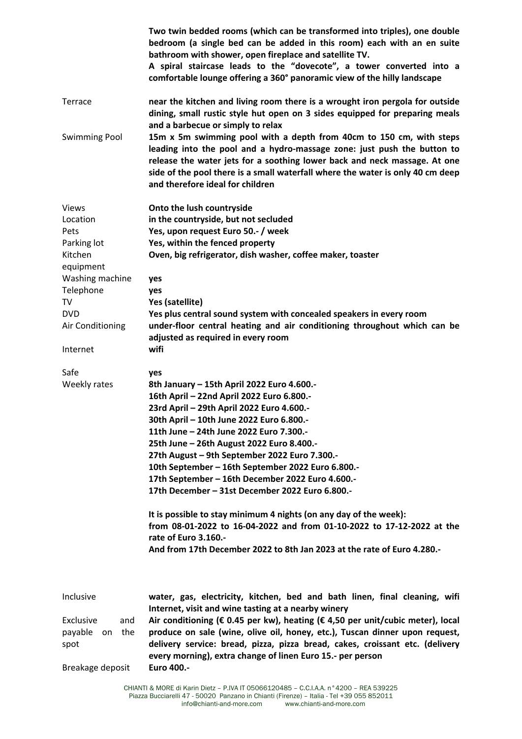|                      | Two twin bedded rooms (which can be transformed into triples), one double<br>bedroom (a single bed can be added in this room) each with an en suite<br>bathroom with shower, open fireplace and satellite TV.<br>A spiral staircase leads to the "dovecote", a tower converted into a<br>comfortable lounge offering a 360° panoramic view of the hilly landscape |
|----------------------|-------------------------------------------------------------------------------------------------------------------------------------------------------------------------------------------------------------------------------------------------------------------------------------------------------------------------------------------------------------------|
| Terrace              | near the kitchen and living room there is a wrought iron pergola for outside<br>dining, small rustic style hut open on 3 sides equipped for preparing meals<br>and a barbecue or simply to relax                                                                                                                                                                  |
| <b>Swimming Pool</b> | 15m x 5m swimming pool with a depth from 40cm to 150 cm, with steps<br>leading into the pool and a hydro-massage zone: just push the button to<br>release the water jets for a soothing lower back and neck massage. At one<br>side of the pool there is a small waterfall where the water is only 40 cm deep<br>and therefore ideal for children                 |
| <b>Views</b>         | Onto the lush countryside                                                                                                                                                                                                                                                                                                                                         |
| Location             | in the countryside, but not secluded                                                                                                                                                                                                                                                                                                                              |
| Pets                 | Yes, upon request Euro 50 .- / week                                                                                                                                                                                                                                                                                                                               |
| Parking lot          | Yes, within the fenced property                                                                                                                                                                                                                                                                                                                                   |
| Kitchen              | Oven, big refrigerator, dish washer, coffee maker, toaster                                                                                                                                                                                                                                                                                                        |
| equipment            |                                                                                                                                                                                                                                                                                                                                                                   |
| Washing machine      | yes                                                                                                                                                                                                                                                                                                                                                               |
| Telephone            | yes                                                                                                                                                                                                                                                                                                                                                               |
| TV                   | Yes (satellite)                                                                                                                                                                                                                                                                                                                                                   |
| <b>DVD</b>           | Yes plus central sound system with concealed speakers in every room                                                                                                                                                                                                                                                                                               |
| Air Conditioning     | under-floor central heating and air conditioning throughout which can be                                                                                                                                                                                                                                                                                          |
| Internet             | adjusted as required in every room<br>wifi                                                                                                                                                                                                                                                                                                                        |
| Safe                 | yes                                                                                                                                                                                                                                                                                                                                                               |
| Weekly rates         | 8th January - 15th April 2022 Euro 4.600 .-                                                                                                                                                                                                                                                                                                                       |
|                      | 16th April - 22nd April 2022 Euro 6.800 .-                                                                                                                                                                                                                                                                                                                        |
|                      | 23rd April - 29th April 2022 Euro 4.600 .-                                                                                                                                                                                                                                                                                                                        |
|                      | 30th April - 10th June 2022 Euro 6.800 .-                                                                                                                                                                                                                                                                                                                         |
|                      | 11th June - 24th June 2022 Euro 7.300.-                                                                                                                                                                                                                                                                                                                           |
|                      | 25th June - 26th August 2022 Euro 8.400 .-                                                                                                                                                                                                                                                                                                                        |
|                      | 27th August - 9th September 2022 Euro 7.300 .-                                                                                                                                                                                                                                                                                                                    |
|                      | 10th September - 16th September 2022 Euro 6.800 .-                                                                                                                                                                                                                                                                                                                |
|                      | 17th September - 16th December 2022 Euro 4.600.-                                                                                                                                                                                                                                                                                                                  |
|                      | 17th December - 31st December 2022 Euro 6.800.-                                                                                                                                                                                                                                                                                                                   |
|                      | It is possible to stay minimum 4 nights (on any day of the week):<br>from 08-01-2022 to 16-04-2022 and from 01-10-2022 to 17-12-2022 at the<br>rate of Euro 3.160 .-                                                                                                                                                                                              |
|                      | And from 17th December 2022 to 8th Jan 2023 at the rate of Euro 4.280.-                                                                                                                                                                                                                                                                                           |
|                      |                                                                                                                                                                                                                                                                                                                                                                   |
| Inclusive            | water, gas, electricity, kitchen, bed and bath linen, final cleaning, wifi<br>Internet, visit and wine tasting at a nearby winery                                                                                                                                                                                                                                 |
| Exclusive<br>and     | Air conditioning ( $\epsilon$ 0.45 per kw), heating ( $\epsilon$ 4,50 per unit/cubic meter), local                                                                                                                                                                                                                                                                |
| the<br>payable<br>on | produce on sale (wine, olive oil, honey, etc.), Tuscan dinner upon request,                                                                                                                                                                                                                                                                                       |
| spot                 | delivery service: bread, pizza, pizza bread, cakes, croissant etc. (delivery<br>every morning), extra change of linen Euro 15.- per person                                                                                                                                                                                                                        |
| Breakage deposit     | Euro 400 .-                                                                                                                                                                                                                                                                                                                                                       |